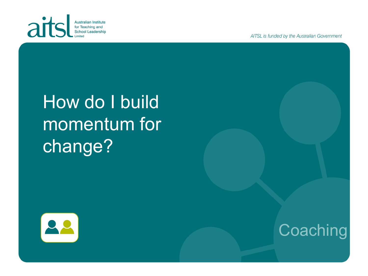

AITSL is funded by the Australian Government

# How do I build momentum for change?



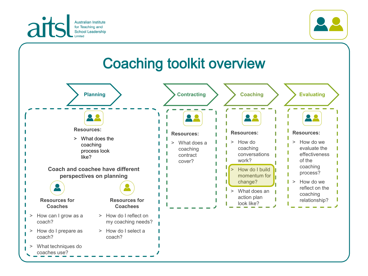



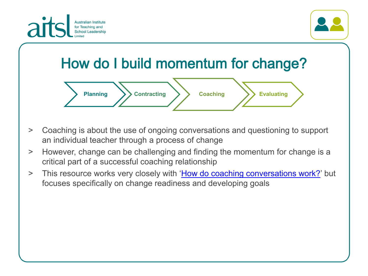



## How do I build momentum for change?



- > Coaching is about the use of ongoing conversations and questioning to support an individual teacher through a process of change
- > However, change can be challenging and finding the momentum for change is a critical part of a successful coaching relationship
- > This resource works very closely with '[How do coaching conversations work?'](https://www.aitsl.edu.au/tools-resources/resource/how-do-coaching-conversations-work) but focuses specifically on change readiness and developing goals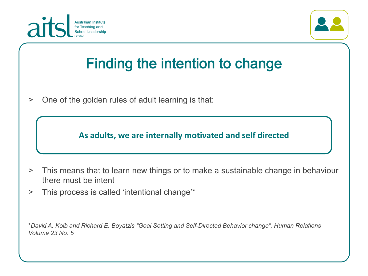



#### **Finding the intention to change**

> One of the golden rules of adult learning is that:

**As adults, we are internally motivated and self directed**

- > This means that to learn new things or to make a sustainable change in behaviour there must be intent
- > This process is called 'intentional change'\*

\**David A. Kolb and Richard E. Boyatzis "Goal Setting and Self-Directed Behavior change", Human Relations Volume 23 No. 5*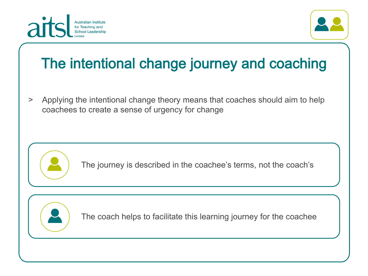



#### The intentional change journey and coaching

> Applying the intentional change theory means that coaches should aim to help coachees to create a sense of urgency for change



The journey is described in the coachee's terms, not the coach's



The coach helps to facilitate this learning journey for the coachee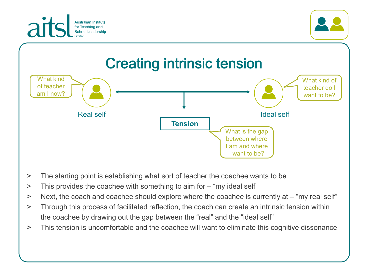





- > The starting point is establishing what sort of teacher the coachee wants to be
- > This provides the coachee with something to aim for "my ideal self"
- > Next, the coach and coachee should explore where the coachee is currently at "my real self"
- > Through this process of facilitated reflection, the coach can create an intrinsic tension within the coachee by drawing out the gap between the "real" and the "ideal self"
- > This tension is uncomfortable and the coachee will want to eliminate this cognitive dissonance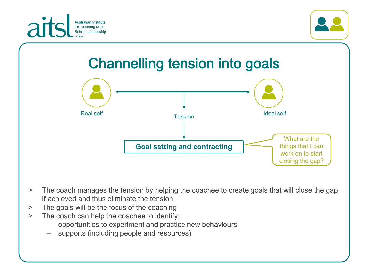



#### **Channelling tension into goals**



- > The coach manages the tension by helping the coachee to create goals that will close the gap if achieved and thus eliminate the tension
- > The goals will be the focus of the coaching
- > The coach can help the coachee to identify:
	- opportunities to experiment and practice new behaviours
	- supports (including people and resources)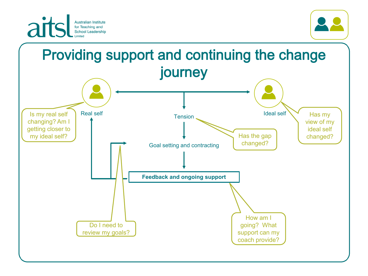



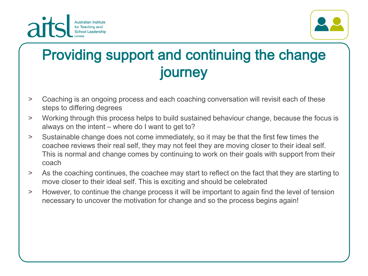



#### Providing support and continuing the change journey

- > Coaching is an ongoing process and each coaching conversation will revisit each of these steps to differing degrees
- > Working through this process helps to build sustained behaviour change, because the focus is always on the intent – where do I want to get to?
- > Sustainable change does not come immediately, so it may be that the first few times the coachee reviews their real self, they may not feel they are moving closer to their ideal self. This is normal and change comes by continuing to work on their goals with support from their coach
- > As the coaching continues, the coachee may start to reflect on the fact that they are starting to move closer to their ideal self. This is exciting and should be celebrated
- > However, to continue the change process it will be important to again find the level of tension necessary to uncover the motivation for change and so the process begins again!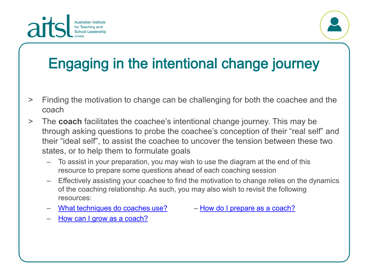



# Engaging in the intentional change journey

- > Finding the motivation to change can be challenging for both the coachee and the coach
- > The **coach** facilitates the coachee's intentional change journey. This may be through asking questions to probe the coachee's conception of their "real self" and their "ideal self", to assist the coachee to uncover the tension between these two states, or to help them to formulate goals
	- To assist in your preparation, you may wish to use the diagram at the end of this resource to prepare some questions ahead of each coaching session
	- Effectively assisting your coachee to find the motivation to change relies on the dynamics of the coaching relationship. As such, you may also wish to revisit the following resources:
	- [What techniques do coaches use?](https://www.aitsl.edu.au/docs/default-source/default-document-library/3-what-techniques-do-coaches-use.pdf?sfvrsn=3ba7ec3c_0) ‒ [How do I prepare as a coach?](https://www.aitsl.edu.au/tools-resources/resource/how-do-i-prepare-as-coach)

– How can I grow as a [coach?](https://www.aitsl.edu.au/tools-resources/resource/how-can-i-grow-as-a-coach)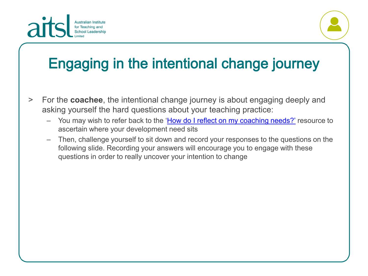



## Engaging in the intentional change journey

- > For the **coachee**, the intentional change journey is about engaging deeply and asking yourself the hard questions about your teaching practice:
	- You may wish to refer back to the '[How do I reflect on my coaching needs?'](https://www.aitsl.edu.au/tools-resources/resource/how-do-i-reflect-on-my-coaching-needs-illustration-of-practice) resource to ascertain where your development need sits
	- Then, challenge yourself to sit down and record your responses to the questions on the following slide. Recording your answers will encourage you to engage with these questions in order to really uncover your intention to change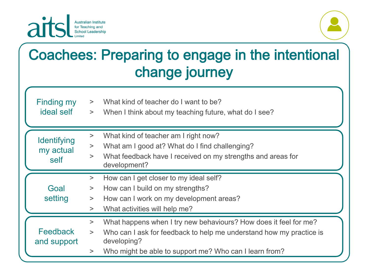

ideal self



### **Coachees: Preparing to engage in the intentional** change journey

| <b>Finding my</b> | What kind of teacher do I want to be? |
|-------------------|---------------------------------------|
|-------------------|---------------------------------------|

> When I think about my teaching future, what do I see?

| <b>Identifying</b><br>my actual<br>self | What kind of teacher am I right now?<br>$\geq$<br>What am I good at? What do I find challenging?<br>$\geq$<br>What feedback have I received on my strengths and areas for<br>$\geq$<br>development?                                       |
|-----------------------------------------|-------------------------------------------------------------------------------------------------------------------------------------------------------------------------------------------------------------------------------------------|
| Goal<br>setting                         | How can I get closer to my ideal self?<br>$\geq$<br>How can I build on my strengths?<br>$\geq$<br>How can I work on my development areas?<br>$\geq$<br>What activities will help me?<br>$\geq$                                            |
| Feedback<br>and support                 | What happens when I try new behaviours? How does it feel for me?<br>$\geq$<br>Who can I ask for feedback to help me understand how my practice is<br>><br>developing?<br>Who might be able to support me? Who can I learn from?<br>$\geq$ |